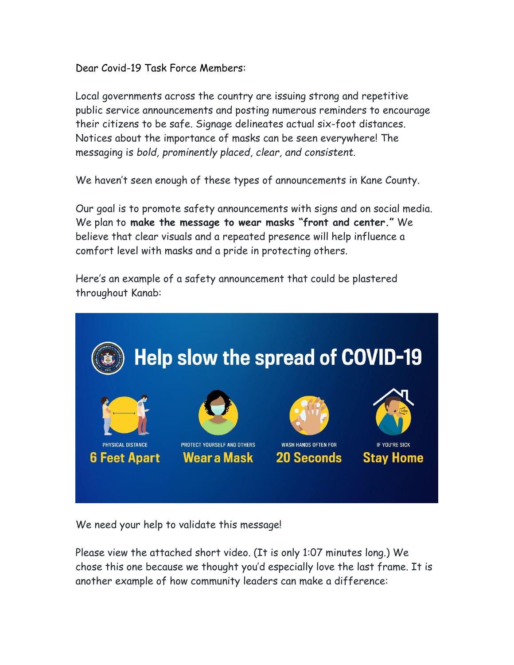Dear Covid-19 Task Force Members:

Local governments across the country are issuing strong and repetitive public service announcements and posting numerous reminders to encourage their citizens to be safe. Signage delineates actual six-foot distances. Notices about the importance of masks can be seen everywhere! The messaging is *bold, prominently placed, clear, and consistent*.

We haven't seen enough of these types of announcements in Kane County.

Our goal is to promote safety announcements with signs and on social media. We plan to **make the message to wear masks "front and center."** We believe that clear visuals and a repeated presence will help influence a comfort level with masks and a pride in protecting others.

Here's an example of a safety announcement that could be plastered throughout Kanab:



We need your help to validate this message!

Please view the attached short video. (It is only 1:07 minutes long.) We chose this one because we thought you'd especially love the last frame. It is another example of how community leaders can make a difference: